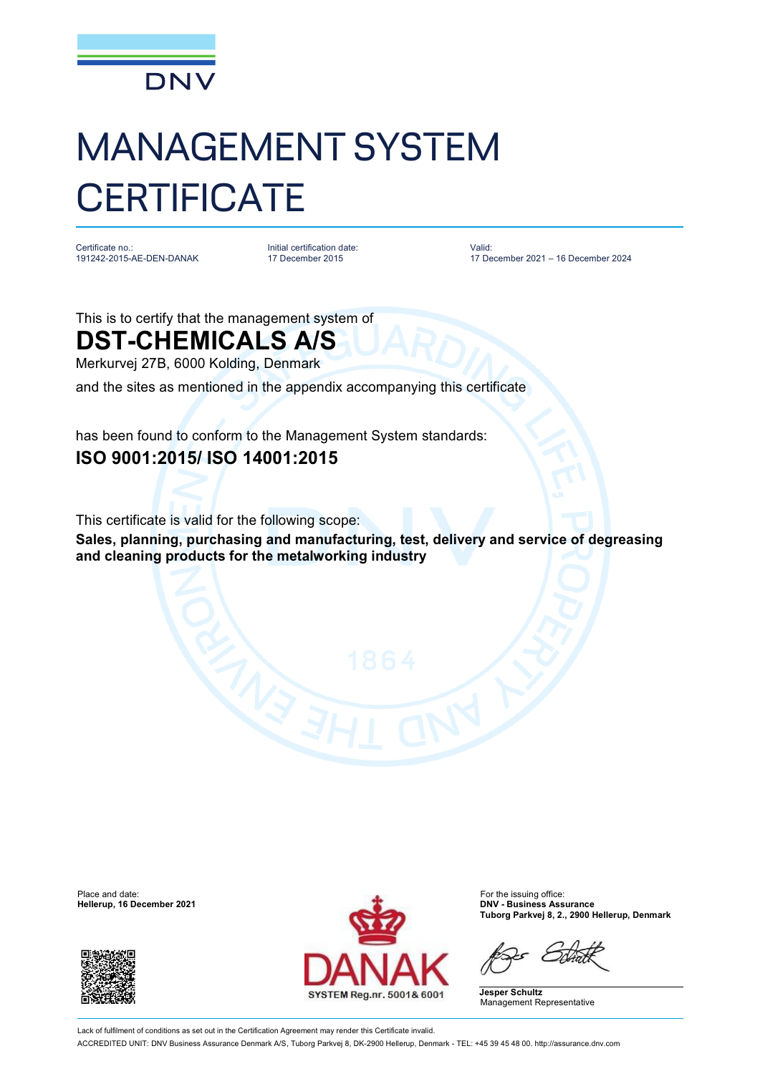

## MANAGEMENT SYSTEM **CERTIFICATE**

Certificate no.: 191242-2015-AE-DEN-DANAK Initial certification date: 17 December 2015

Valid: 17 December 2021 – 16 December 2024

This is to certify that the management system of

## **DST-CHEMICALS A/S**

Merkurvej 27B, 6000 Kolding, Denmark

and the sites as mentioned in the appendix accompanying this certificate

has been found to conform to the Management System standards: **ISO 9001:2015/ ISO 14001:2015**

This certificate is valid for the following scope:

**Sales, planning, purchasing and manufacturing, test, delivery and service of degreasing and cleaning products for the metalworking industry**

**Hellerup, 16 December 2021** 





**Tuborg Parkvej 8, 2., 2900 Hellerup, Denmark**

**Jesper Schultz** Management Representative

Lack of fulfilment of conditions as set out in the Certification Agreement may render this Certificate invalid. ACCREDITED UNIT: DNV Business Assurance Denmark A/S, Tuborg Parkvej 8, DK-2900 Hellerup, Denmark - TEL: +45 39 45 48 00. <http://assurance.dnv.com>